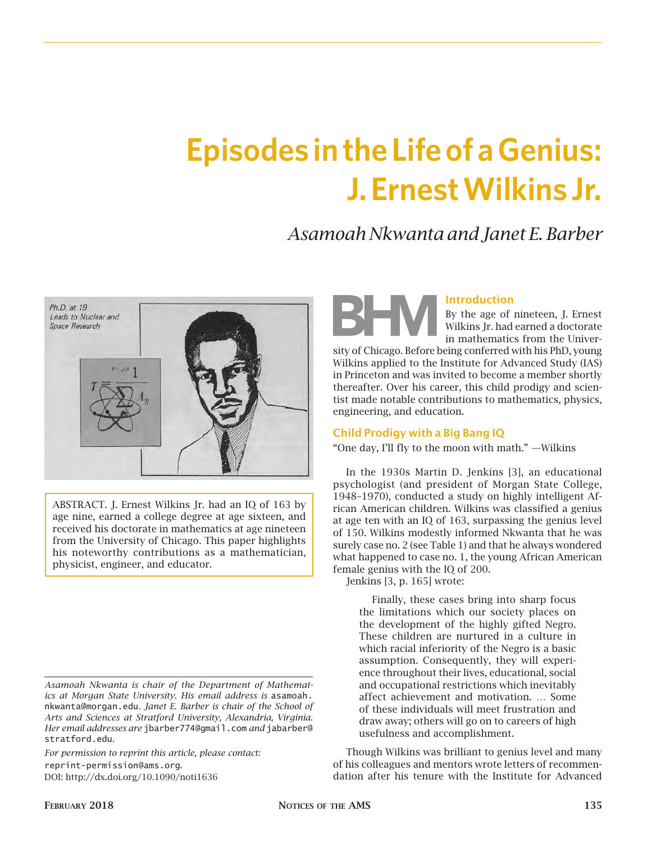# **Episodes in the Life of a Genius: J. Ernest Wilkins Jr.**

# *Asamoah Nkwanta and Janet E. Barber*



ABSTRACT. J. Ernest Wilkins Jr. had an IQ of 163 by age nine, earned a college degree at age sixteen, and received his doctorate in mathematics at age nineteen from the University of Chicago. This paper highlights his noteworthy contributions as a mathematician, physicist, engineer, and educator.

*Asamoah Nkwanta is chair of the Department of Mathematics at Morgan State University. His email address is* asamoah. nkwanta@morgan.edu*. Janet E. Barber is chair of the School of Arts and Sciences at Stratford University, Alexandria, Virginia. Her email addresses are* jbarber774@gmail.com *and* jabarber@ stratford.edu*.*

*For permission to reprint this article, please contact:* reprint-permission@ams.org. DOI: http://dx.doi.org/10.1090/noti1636

## Introduction

By the age of nineteen, J. Ernest Wilkins Jr. had earned a doctorate in mathematics from the Univer-

sity of Chicago. Before being conferred with his PhD, young Wilkins applied to the Institute for Advanced Study (IAS) in Princeton and was invited to become a member shortly thereafter. Over his career, this child prodigy and scientist made notable contributions to mathematics, physics, engineering, and education.

## Child Prodigy with a Big Bang IQ

"One day, I'll fly to the moon with math." —Wilkins

In the 1930s Martin D. Jenkins [3], an educational psychologist (and president of Morgan State College, 1948–1970), conducted a study on highly intelligent African American children. Wilkins was classified a genius at age ten with an IQ of 163, surpassing the genius level of 150. Wilkins modestly informed Nkwanta that he was surely case no. 2 (see Table 1) and that he always wondered what happened to case no. 1, the young African American female genius with the IQ of 200.

Jenkins [3, p. 165] wrote:

Finally, these cases bring into sharp focus the limitations which our society places on the development of the highly gifted Negro. These children are nurtured in a culture in which racial inferiority of the Negro is a basic assumption. Consequently, they will experience throughout their lives, educational, social and occupational restrictions which inevitably affect achievement and motivation. … Some of these individuals will meet frustration and draw away; others will go on to careers of high usefulness and accomplishment.

Though Wilkins was brilliant to genius level and many of his colleagues and mentors wrote letters of recommendation after his tenure with the Institute for Advanced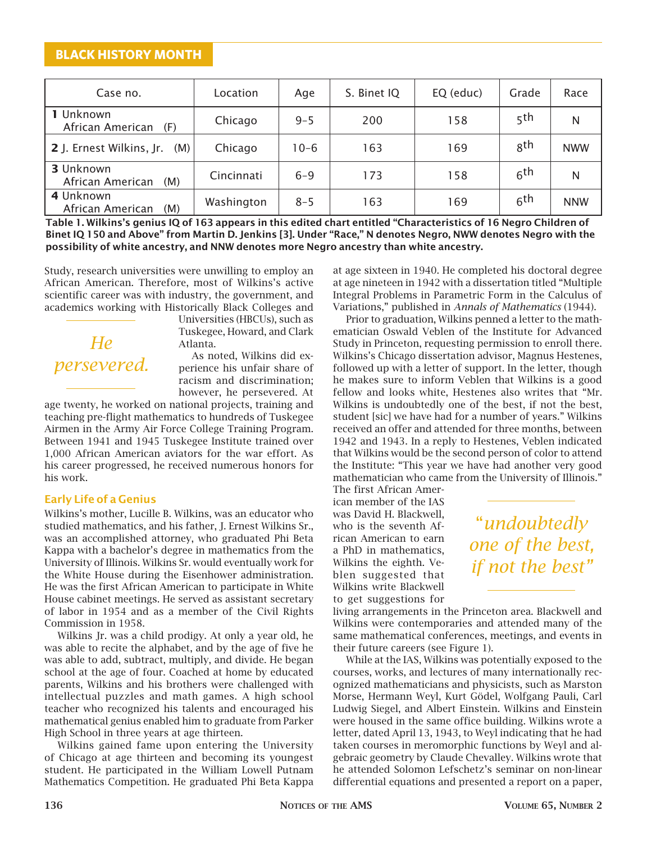## **BLACK HISTORY MONTH**

| Case no.                             | Location   | Age     | S. Binet IQ | EQ (educ) | Grade           | Race       |
|--------------------------------------|------------|---------|-------------|-----------|-----------------|------------|
| 1 Unknown<br>African American<br>(F) | Chicago    | $9 - 5$ | 200         | 158       | 5 <sup>th</sup> | N          |
| 2 J. Ernest Wilkins, Jr.<br>(M)      | Chicago    | $10-6$  | 163         | 169       | gth             | <b>NWW</b> |
| 3 Unknown<br>African American<br>(M) | Cincinnati | $6 - 9$ | 173         | 158       | 6 <sup>th</sup> | N          |
| 4 Unknown<br>African American<br>(M) | Washington | $8 - 5$ | 163         | 169       | 6 <sup>th</sup> | <b>NNW</b> |

Table 1. Wilkins's genius IQ of 163 appears in this edited chart entitled "Characteristics of 16 Negro Children of Binet IQ 150 and Above" from Martin D. Jenkins [3]. Under "Race," N denotes Negro, NWW denotes Negro with the possibility of white ancestry, and NNW denotes more Negro ancestry than white ancestry.

Study, research universities were unwilling to employ an African American. Therefore, most of Wilkins's active scientific career was with industry, the government, and academics working with Historically Black Colleges and

# *He persevered.*

Universities (HBCUs), such as Tuskegee, Howard, and Clark Atlanta.

As noted, Wilkins did experience his unfair share of racism and discrimination; however, he persevered. At

age twenty, he worked on national projects, training and teaching pre-flight mathematics to hundreds of Tuskegee Airmen in the Army Air Force College Training Program. Between 1941 and 1945 Tuskegee Institute trained over 1,000 African American aviators for the war effort. As his career progressed, he received numerous honors for his work.

## Early Life of a Genius

Wilkins's mother, Lucille B. Wilkins, was an educator who studied mathematics, and his father, J. Ernest Wilkins Sr., was an accomplished attorney, who graduated Phi Beta Kappa with a bachelor's degree in mathematics from the University of Illinois. Wilkins Sr. would eventually work for the White House during the Eisenhower administration. He was the first African American to participate in White House cabinet meetings. He served as assistant secretary of labor in 1954 and as a member of the Civil Rights Commission in 1958.

Wilkins Jr. was a child prodigy. At only a year old, he was able to recite the alphabet, and by the age of five he was able to add, subtract, multiply, and divide. He began school at the age of four. Coached at home by educated parents, Wilkins and his brothers were challenged with intellectual puzzles and math games. A high school teacher who recognized his talents and encouraged his mathematical genius enabled him to graduate from Parker High School in three years at age thirteen.

Wilkins gained fame upon entering the University of Chicago at age thirteen and becoming its youngest student. He participated in the William Lowell Putnam Mathematics Competition. He graduated Phi Beta Kappa at age sixteen in 1940. He completed his doctoral degree at age nineteen in 1942 with a dissertation titled "Multiple Integral Problems in Parametric Form in the Calculus of Variations," published in *Annals of Mathematics* (1944).

Prior to graduation, Wilkins penned a letter to the mathematician Oswald Veblen of the Institute for Advanced Study in Princeton, requesting permission to enroll there. Wilkins's Chicago dissertation advisor, Magnus Hestenes, followed up with a letter of support. In the letter, though he makes sure to inform Veblen that Wilkins is a good fellow and looks white, Hestenes also writes that "Mr. Wilkins is undoubtedly one of the best, if not the best, student [sic] we have had for a number of years." Wilkins received an offer and attended for three months, between 1942 and 1943. In a reply to Hestenes, Veblen indicated that Wilkins would be the second person of color to attend the Institute: "This year we have had another very good mathematician who came from the University of Illinois."

The first African American member of the IAS was David H. Blackwell, who is the seventh African American to earn a PhD in mathematics, Wilkins the eighth. Veblen suggested that Wilkins write Blackwell to get suggestions for

"*undoubtedly one of the best, if not the best"*

living arrangements in the Princeton area. Blackwell and Wilkins were contemporaries and attended many of the same mathematical conferences, meetings, and events in their future careers (see Figure 1).

While at the IAS, Wilkins was potentially exposed to the courses, works, and lectures of many internationally recognized mathematicians and physicists, such as Marston Morse, Hermann Weyl, Kurt Gödel, Wolfgang Pauli, Carl Ludwig Siegel, and Albert Einstein. Wilkins and Einstein were housed in the same office building. Wilkins wrote a letter, dated April 13, 1943, to Weyl indicating that he had taken courses in meromorphic functions by Weyl and algebraic geometry by Claude Chevalley. Wilkins wrote that he attended Solomon Lefschetz's seminar on non-linear differential equations and presented a report on a paper,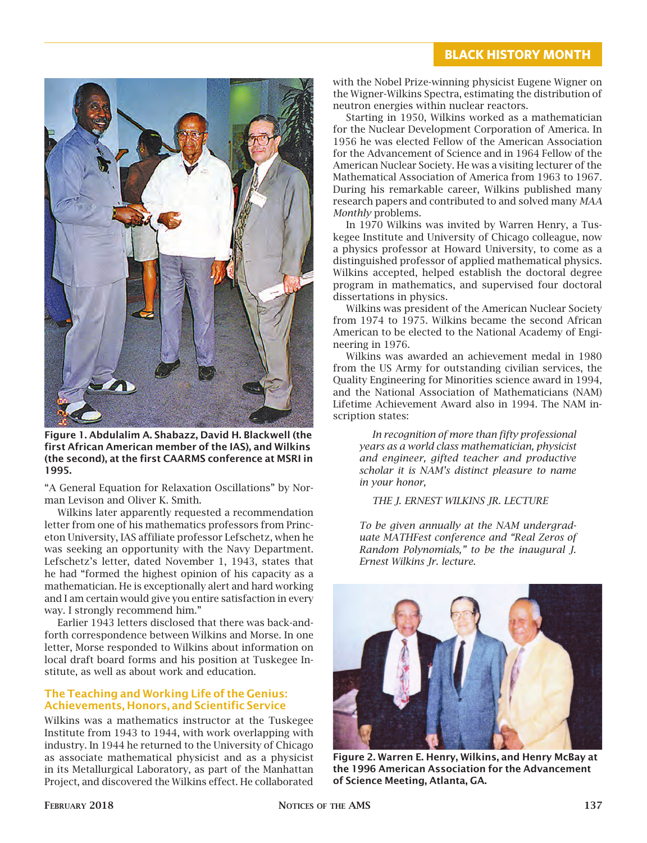

Figure 1. Abdulalim A. Shabazz, David H. Blackwell (the first African American member of the IAS), and Wilkins (the second), at the first CAARMS conference at MSRI in 1995.

"A General Equation for Relaxation Oscillations" by Norman Levison and Oliver K. Smith.

Wilkins later apparently requested a recommendation letter from one of his mathematics professors from Princeton University, IAS affiliate professor Lefschetz, when he was seeking an opportunity with the Navy Department. Lefschetz's letter, dated November 1, 1943, states that he had "formed the highest opinion of his capacity as a mathematician. He is exceptionally alert and hard working and I am certain would give you entire satisfaction in every way. I strongly recommend him."

Earlier 1943 letters disclosed that there was back-andforth correspondence between Wilkins and Morse. In one letter, Morse responded to Wilkins about information on local draft board forms and his position at Tuskegee Institute, as well as about work and education.

## The Teaching and Working Life of the Genius: Achievements, Honors, and Scientific Service

Wilkins was a mathematics instructor at the Tuskegee Institute from 1943 to 1944, with work overlapping with industry. In 1944 he returned to the University of Chicago as associate mathematical physicist and as a physicist in its Metallurgical Laboratory, as part of the Manhattan Project, and discovered the Wilkins effect. He collaborated

with the Nobel Prize-winning physicist Eugene Wigner on the Wigner-Wilkins Spectra, estimating the distribution of neutron energies within nuclear reactors.

Starting in 1950, Wilkins worked as a mathematician for the Nuclear Development Corporation of America. In 1956 he was elected Fellow of the American Association for the Advancement of Science and in 1964 Fellow of the American Nuclear Society. He was a visiting lecturer of the Mathematical Association of America from 1963 to 1967. During his remarkable career, Wilkins published many research papers and contributed to and solved many *MAA Monthly* problems.

In 1970 Wilkins was invited by Warren Henry, a Tuskegee Institute and University of Chicago colleague, now a physics professor at Howard University, to come as a distinguished professor of applied mathematical physics. Wilkins accepted, helped establish the doctoral degree program in mathematics, and supervised four doctoral dissertations in physics.

Wilkins was president of the American Nuclear Society from 1974 to 1975. Wilkins became the second African American to be elected to the National Academy of Engineering in 1976.

Wilkins was awarded an achievement medal in 1980 from the US Army for outstanding civilian services, the Quality Engineering for Minorities science award in 1994, and the National Association of Mathematicians (NAM) Lifetime Achievement Award also in 1994. The NAM inscription states:

*In recognition of more than fifty professional years as a world class mathematician, physicist and engineer, gifted teacher and productive scholar it is NAM's distinct pleasure to name in your honor,*

*THE J. ERNEST WILKINS JR. LECTURE*

*To be given annually at the NAM undergraduate MATHFest conference and "Real Zeros of Random Polynomials," to be the inaugural J. Ernest Wilkins Jr. lecture*.



Figure 2. Warren E. Henry, Wilkins, and Henry McBay at the 1996 American Association for the Advancement of Science Meeting, Atlanta, GA.